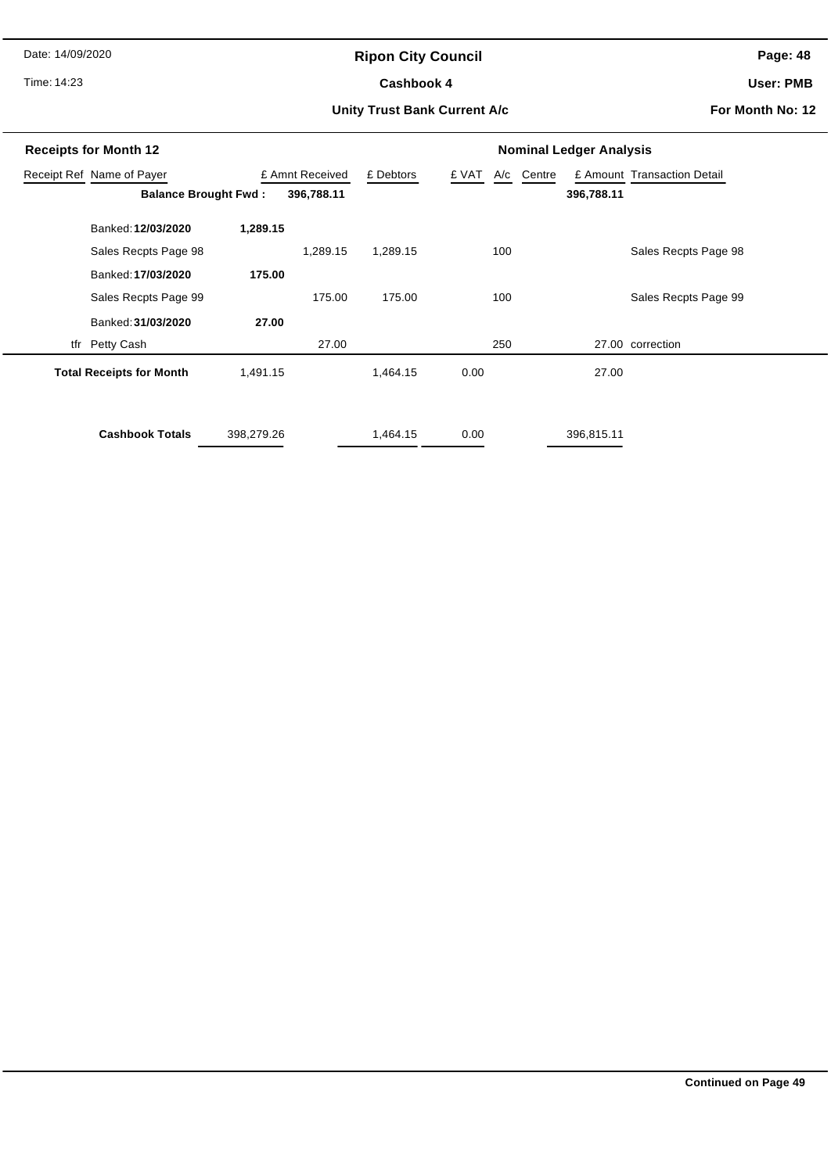Date: 14/09/2020

# **Ripon City Council**

Time: 14:23

#### Cashbook 4

**Page: 48**

**User: PMB**

#### **Unity Trust Bank Current A/c**

**For Month No: 12**

| <b>Receipts for Month 12</b>    |                        |                 |            | <b>Nominal Ledger Analysis</b> |       |     |            |            |                             |  |
|---------------------------------|------------------------|-----------------|------------|--------------------------------|-------|-----|------------|------------|-----------------------------|--|
| Receipt Ref Name of Payer       |                        | £ Amnt Received |            | £ Debtors                      | £ VAT |     | A/c Centre |            | £ Amount Transaction Detail |  |
| <b>Balance Brought Fwd:</b>     |                        |                 | 396,788.11 |                                |       |     |            | 396,788.11 |                             |  |
|                                 | Banked: 12/03/2020     | 1,289.15        |            |                                |       |     |            |            |                             |  |
|                                 | Sales Recpts Page 98   |                 | 1,289.15   | 1,289.15                       |       | 100 |            |            | Sales Recpts Page 98        |  |
|                                 | Banked: 17/03/2020     | 175.00          |            |                                |       |     |            |            |                             |  |
|                                 | Sales Recpts Page 99   |                 | 175.00     | 175.00                         |       | 100 |            |            | Sales Recpts Page 99        |  |
|                                 | Banked: 31/03/2020     | 27.00           |            |                                |       |     |            |            |                             |  |
| tfr Petty Cash                  |                        |                 | 27.00      |                                |       | 250 |            |            | 27.00 correction            |  |
| <b>Total Receipts for Month</b> |                        | 1,491.15        |            | 1,464.15                       | 0.00  |     |            | 27.00      |                             |  |
|                                 |                        |                 |            |                                |       |     |            |            |                             |  |
|                                 | <b>Cashbook Totals</b> | 398,279.26      |            | 1,464.15                       | 0.00  |     |            | 396,815.11 |                             |  |